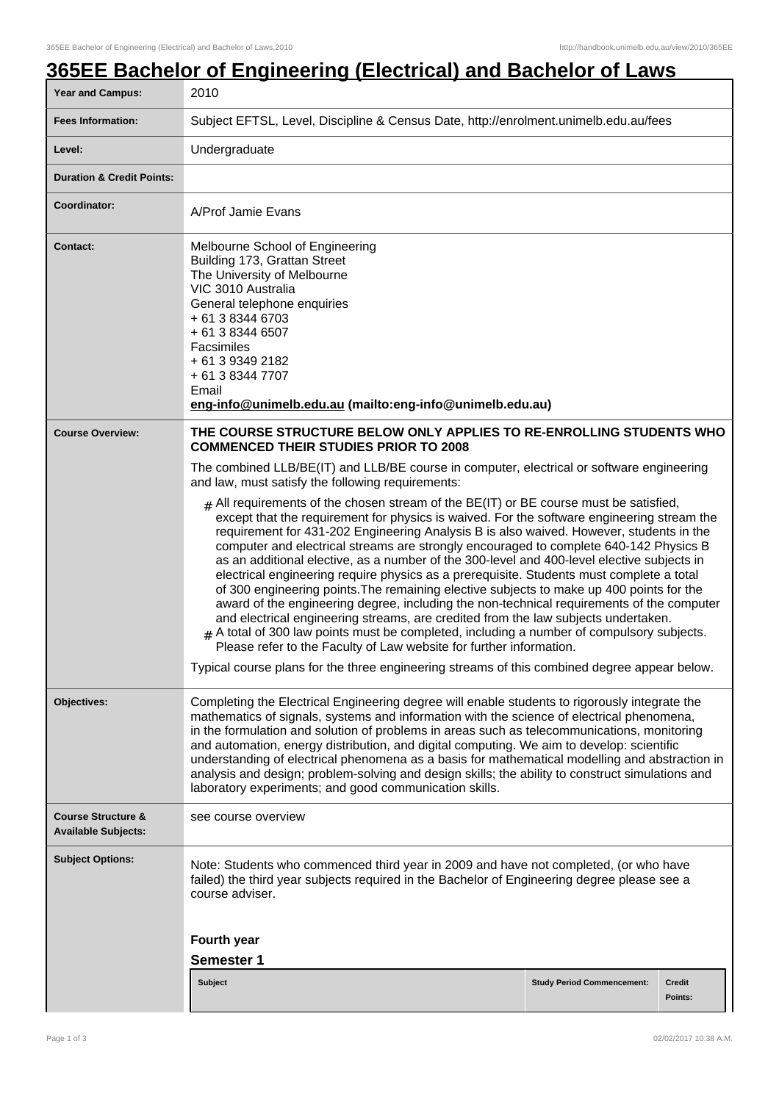# **365EE Bachelor of Engineering (Electrical) and Bachelor of Laws**

| <b>Year and Campus:</b>                                     | 2010                                                                                                                                                                                                                                                                                                                                                                                                                                                                                                                                                                                                                                                                                                                                                                                                                                                                                                                                                                                                                                                                                                                     |                                   |         |
|-------------------------------------------------------------|--------------------------------------------------------------------------------------------------------------------------------------------------------------------------------------------------------------------------------------------------------------------------------------------------------------------------------------------------------------------------------------------------------------------------------------------------------------------------------------------------------------------------------------------------------------------------------------------------------------------------------------------------------------------------------------------------------------------------------------------------------------------------------------------------------------------------------------------------------------------------------------------------------------------------------------------------------------------------------------------------------------------------------------------------------------------------------------------------------------------------|-----------------------------------|---------|
| <b>Fees Information:</b>                                    | Subject EFTSL, Level, Discipline & Census Date, http://enrolment.unimelb.edu.au/fees                                                                                                                                                                                                                                                                                                                                                                                                                                                                                                                                                                                                                                                                                                                                                                                                                                                                                                                                                                                                                                     |                                   |         |
| Level:                                                      | Undergraduate                                                                                                                                                                                                                                                                                                                                                                                                                                                                                                                                                                                                                                                                                                                                                                                                                                                                                                                                                                                                                                                                                                            |                                   |         |
| <b>Duration &amp; Credit Points:</b>                        |                                                                                                                                                                                                                                                                                                                                                                                                                                                                                                                                                                                                                                                                                                                                                                                                                                                                                                                                                                                                                                                                                                                          |                                   |         |
| Coordinator:                                                | A/Prof Jamie Evans                                                                                                                                                                                                                                                                                                                                                                                                                                                                                                                                                                                                                                                                                                                                                                                                                                                                                                                                                                                                                                                                                                       |                                   |         |
| Contact:                                                    | Melbourne School of Engineering<br>Building 173, Grattan Street<br>The University of Melbourne<br>VIC 3010 Australia<br>General telephone enquiries<br>+ 61 3 8344 6703<br>+ 61 3 8344 6507<br>Facsimiles<br>+ 61 3 9349 2182<br>+ 61 3 8344 7707<br>Email<br>eng-info@unimelb.edu.au (mailto:eng-info@unimelb.edu.au)                                                                                                                                                                                                                                                                                                                                                                                                                                                                                                                                                                                                                                                                                                                                                                                                   |                                   |         |
| <b>Course Overview:</b>                                     | THE COURSE STRUCTURE BELOW ONLY APPLIES TO RE-ENROLLING STUDENTS WHO<br><b>COMMENCED THEIR STUDIES PRIOR TO 2008</b>                                                                                                                                                                                                                                                                                                                                                                                                                                                                                                                                                                                                                                                                                                                                                                                                                                                                                                                                                                                                     |                                   |         |
|                                                             | The combined LLB/BE(IT) and LLB/BE course in computer, electrical or software engineering<br>and law, must satisfy the following requirements:                                                                                                                                                                                                                                                                                                                                                                                                                                                                                                                                                                                                                                                                                                                                                                                                                                                                                                                                                                           |                                   |         |
|                                                             | $#$ All requirements of the chosen stream of the BE(IT) or BE course must be satisfied,<br>except that the requirement for physics is waived. For the software engineering stream the<br>requirement for 431-202 Engineering Analysis B is also waived. However, students in the<br>computer and electrical streams are strongly encouraged to complete 640-142 Physics B<br>as an additional elective, as a number of the 300-level and 400-level elective subjects in<br>electrical engineering require physics as a prerequisite. Students must complete a total<br>of 300 engineering points. The remaining elective subjects to make up 400 points for the<br>award of the engineering degree, including the non-technical requirements of the computer<br>and electrical engineering streams, are credited from the law subjects undertaken.<br>$#$ A total of 300 law points must be completed, including a number of compulsory subjects.<br>Please refer to the Faculty of Law website for further information.<br>Typical course plans for the three engineering streams of this combined degree appear below. |                                   |         |
| Objectives:                                                 | Completing the Electrical Engineering degree will enable students to rigorously integrate the<br>mathematics of signals, systems and information with the science of electrical phenomena,<br>in the formulation and solution of problems in areas such as telecommunications, monitoring<br>and automation, energy distribution, and digital computing. We aim to develop: scientific<br>understanding of electrical phenomena as a basis for mathematical modelling and abstraction in<br>analysis and design; problem-solving and design skills; the ability to construct simulations and<br>laboratory experiments; and good communication skills.                                                                                                                                                                                                                                                                                                                                                                                                                                                                   |                                   |         |
| <b>Course Structure &amp;</b><br><b>Available Subjects:</b> | see course overview                                                                                                                                                                                                                                                                                                                                                                                                                                                                                                                                                                                                                                                                                                                                                                                                                                                                                                                                                                                                                                                                                                      |                                   |         |
| <b>Subject Options:</b>                                     | Note: Students who commenced third year in 2009 and have not completed, (or who have<br>failed) the third year subjects required in the Bachelor of Engineering degree please see a<br>course adviser.<br>Fourth year<br><b>Semester 1</b>                                                                                                                                                                                                                                                                                                                                                                                                                                                                                                                                                                                                                                                                                                                                                                                                                                                                               |                                   |         |
|                                                             | Subject                                                                                                                                                                                                                                                                                                                                                                                                                                                                                                                                                                                                                                                                                                                                                                                                                                                                                                                                                                                                                                                                                                                  | <b>Study Period Commencement:</b> | Credit  |
|                                                             |                                                                                                                                                                                                                                                                                                                                                                                                                                                                                                                                                                                                                                                                                                                                                                                                                                                                                                                                                                                                                                                                                                                          |                                   | Points: |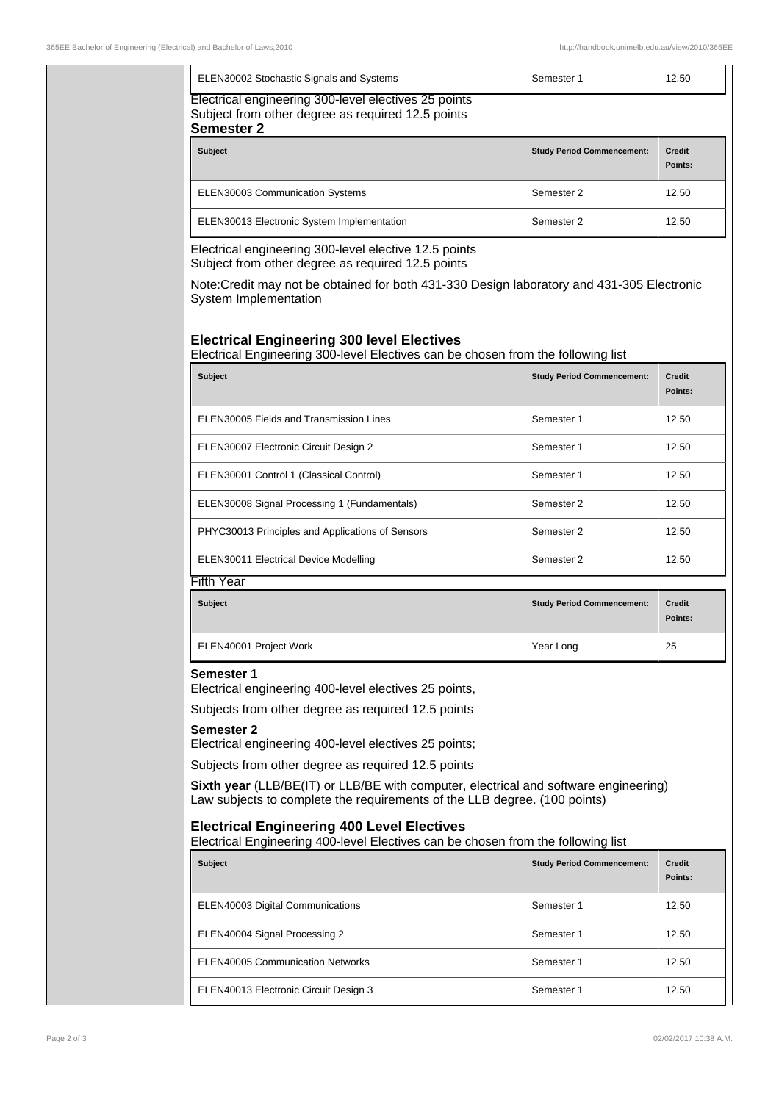| ELEN30002 Stochastic Signals and Systems                                                                                       | Semester 1                        | 12.50                    |
|--------------------------------------------------------------------------------------------------------------------------------|-----------------------------------|--------------------------|
| Electrical engineering 300-level electives 25 points<br>Subject from other degree as required 12.5 points<br><b>Semester 2</b> |                                   |                          |
| <b>Subject</b>                                                                                                                 | <b>Study Period Commencement:</b> | <b>Credit</b><br>Points: |
| <b>ELEN30003 Communication Systems</b>                                                                                         | Semester 2                        | 12.50                    |
| ELEN30013 Electronic System Implementation                                                                                     | Semester 2                        | 12.50                    |
|                                                                                                                                |                                   |                          |

Electrical engineering 300-level elective 12.5 points Subject from other degree as required 12.5 points

Note:Credit may not be obtained for both 431-330 Design laboratory and 431-305 Electronic System Implementation

## **Electrical Engineering 300 level Electives**

Electrical Engineering 300-level Electives can be chosen from the following list

| <b>Subject</b>                                   | <b>Study Period Commencement:</b> | <b>Credit</b><br>Points: |
|--------------------------------------------------|-----------------------------------|--------------------------|
| ELEN30005 Fields and Transmission Lines          | Semester 1                        | 12.50                    |
| ELEN30007 Electronic Circuit Design 2            | Semester 1                        | 12.50                    |
| ELEN30001 Control 1 (Classical Control)          | Semester 1                        | 12.50                    |
| ELEN30008 Signal Processing 1 (Fundamentals)     | Semester 2                        | 12.50                    |
| PHYC30013 Principles and Applications of Sensors | Semester 2                        | 12.50                    |
| <b>ELEN30011 Electrical Device Modelling</b>     | Semester 2                        | 12.50                    |
| Fifth Year                                       |                                   |                          |

| <b>Subject</b>         | <b>Study Period Commencement:</b> | <b>Credit</b><br>Points: |
|------------------------|-----------------------------------|--------------------------|
| ELEN40001 Project Work | Year Long                         | 25                       |

#### **Semester 1**

Electrical engineering 400-level electives 25 points,

Subjects from other degree as required 12.5 points

#### **Semester 2**

Electrical engineering 400-level electives 25 points;

Subjects from other degree as required 12.5 points

**Sixth year** (LLB/BE(IT) or LLB/BE with computer, electrical and software engineering) Law subjects to complete the requirements of the LLB degree. (100 points)

### **Electrical Engineering 400 Level Electives**

Electrical Engineering 400-level Electives can be chosen from the following list

| <b>Subject</b>                        | <b>Study Period Commencement:</b> | <b>Credit</b><br>Points: |
|---------------------------------------|-----------------------------------|--------------------------|
| ELEN40003 Digital Communications      | Semester 1                        | 12.50                    |
| ELEN40004 Signal Processing 2         | Semester 1                        | 12.50                    |
| ELEN40005 Communication Networks      | Semester 1                        | 12.50                    |
| ELEN40013 Electronic Circuit Design 3 | Semester 1                        | 12.50                    |